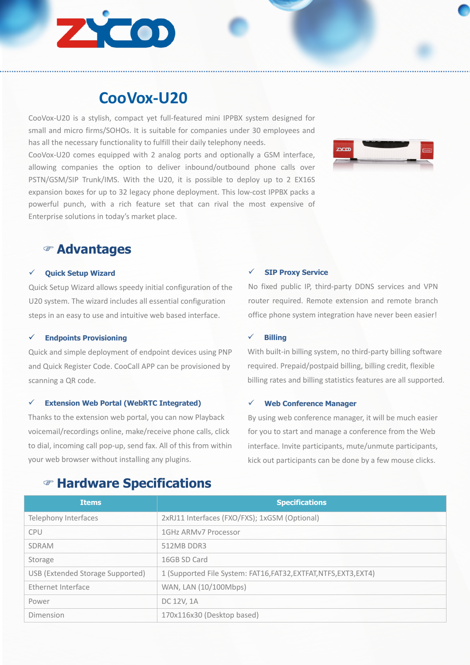

# **CooVox-U20**

CooVox-U20 is a stylish, compact yet full-featured mini IPPBX system designed for small and micro firms/SOHOs. It is suitable for companies under 30 employees and has all the necessary functionality to fulfill their daily telephony needs.

CooVox-U20 comes equipped with 2 analog ports and optionally a GSM interface, allowing companies the option to deliver inbound/outbound phone calls over PSTN/GSM/SIP Trunk/IMS. With the U20, it is possible to deploy up to 2 EX16S expansion boxes for up to 32 legacy phone deployment. This low-cost IPPBX packs a powerful punch, with a rich feature set that can rival the most expensive of Enterprise solutions in today's market place.



### F **Advantages**

#### ü **Quick Setup Wizard**

Quick Setup Wizard allows speedy initial configuration of the U20 system. The wizard includes all essential configuration steps in an easy to use and intuitive web based interface.

#### ü **Endpoints Provisioning**

Quick and simple deployment of endpoint devices using PNP and Quick Register Code. CooCall APP can be provisioned by scanning a QR code.

#### ü **Extension Web Portal (WebRTC Integrated)**

Thanks to the extension web portal, you can now Playback voicemail/recordings online, make/receive phone calls, click to dial, incoming call pop-up, send fax. All of this from within your web browser without installing any plugins.

## F **Hardware Specifications**

#### **SIP Proxy Service**

No fixed public IP, third-party DDNS services and VPN router required. Remote extension and remote branch office phone system integration have never been easier!

#### ü **Billing**

With built-in billing system, no third-party billing software required. Prepaid/postpaid billing, billing credit, flexible billing rates and billing statistics features are all supported.

#### ü **Web Conference Manager**

By using web conference manager, it will be much easier for you to start and manage a conference from the Web interface. Invite participants, mute/unmute participants, kick out participants can be done by a few mouse clicks.

| <b>Items</b>                     | <b>Specifications</b>                                             |
|----------------------------------|-------------------------------------------------------------------|
| Telephony Interfaces             | 2xRJ11 Interfaces (FXO/FXS); 1xGSM (Optional)                     |
| <b>CPU</b>                       | 1GHz ARMv7 Processor                                              |
| <b>SDRAM</b>                     | 512MB DDR3                                                        |
| Storage                          | 16GB SD Card                                                      |
| USB (Extended Storage Supported) | 1 (Supported File System: FAT16, FAT32, EXTFAT, NTFS, EXT3, EXT4) |
| Ethernet Interface               | WAN, LAN (10/100Mbps)                                             |
| Power                            | DC 12V, 1A                                                        |
| Dimension                        | 170x116x30 (Desktop based)                                        |